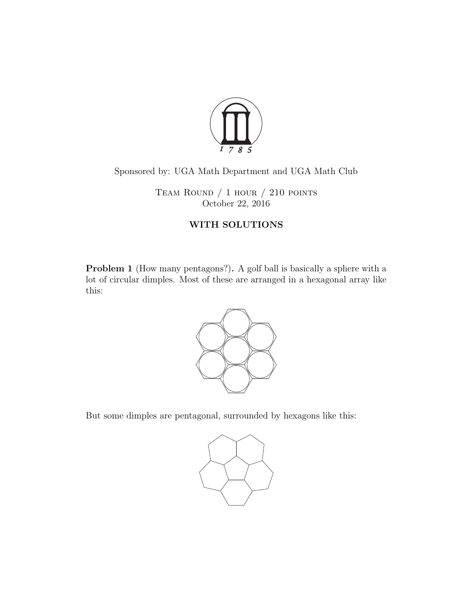

## Sponsored by: UGA Math Department and UGA Math Club

TEAM ROUND  $/ 1$  hour  $/ 210$  points October 22, 2016

## WITH SOLUTIONS

Problem 1 (How many pentagons?). A golf ball is basically a sphere with a lot of circular dimples. Most of these are arranged in a hexagonal array like this:



But some dimples are pentagonal, surrounded by hexagons like this:

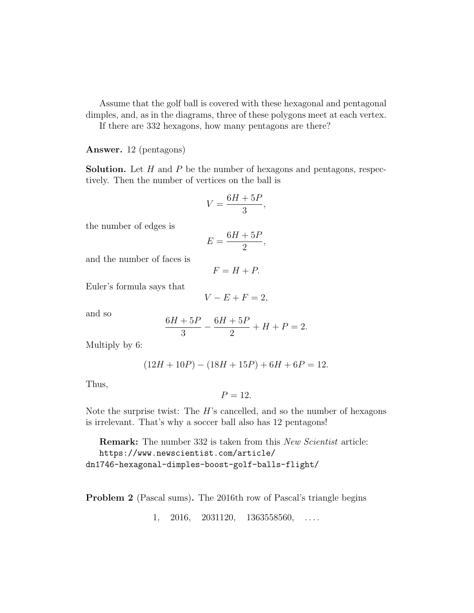Assume that the golf ball is covered with these hexagonal and pentagonal dimples, and, as in the diagrams, three of these polygons meet at each vertex.

If there are 332 hexagons, how many pentagons are there?

Answer. 12 (pentagons)

**Solution.** Let  $H$  and  $P$  be the number of hexagons and pentagons, respectively. Then the number of vertices on the ball is

$$
V = \frac{6H + 5P}{3},
$$

the number of edges is

$$
E = \frac{6H + 5P}{2},
$$

and the number of faces is

$$
F = H + P.
$$

Euler's formula says that

$$
V - E + F = 2,
$$

and so

$$
\frac{6H+5P}{3} - \frac{6H+5P}{2} + H + P = 2.
$$

Multiply by 6:

$$
(12H + 10P) - (18H + 15P) + 6H + 6P = 12.
$$

Thus,

$$
P=12.
$$

Note the surprise twist: The  $H$ 's cancelled, and so the number of hexagons is irrelevant. That's why a soccer ball also has 12 pentagons!

**Remark:** The number 332 is taken from this *New Scientist* article:

```
https://www.newscientist.com/article/
```
dn1746-hexagonal-dimples-boost-golf-balls-flight/

Problem 2 (Pascal sums). The 2016th row of Pascal's triangle begins

 $1, 2016, 2031120, 1363558560, \ldots$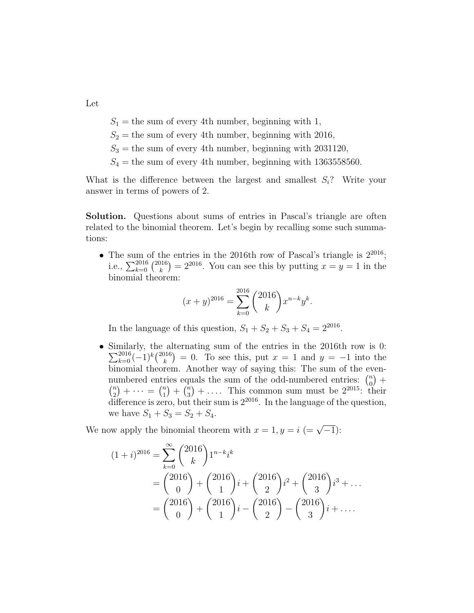Let

 $S_1$  = the sum of every 4th number, beginning with 1,

 $S_2$  = the sum of every 4th number, beginning with 2016,

 $S_3$  = the sum of every 4th number, beginning with 2031120,

 $S_4$  = the sum of every 4th number, beginning with 1363558560.

What is the difference between the largest and smallest  $S_i$ ? Write your answer in terms of powers of 2.

Solution. Questions about sums of entries in Pascal's triangle are often related to the binomial theorem. Let's begin by recalling some such summations:

• The sum of the entries in the 2016th row of Pascal's triangle is  $2^{2016}$ ; i.e.,  $\sum_{k=0}^{2016} {2016 \choose k}$  $(k)$ <sup>116</sup>) = 2<sup>2016</sup>. You can see this by putting  $x = y = 1$  in the binomial theorem:

$$
(x+y)^{2016} = \sum_{k=0}^{2016} {2016 \choose k} x^{n-k} y^k.
$$

In the language of this question,  $S_1 + S_2 + S_3 + S_4 = 2^{2016}$ .

• Similarly, the alternating sum of the entries in the 2016th row is 0:  $\sum_{k=0}^{2016} (-1)^k {2016 \choose k}$  $(k)$  = 0. To see this, put  $x = 1$  and  $y = -1$  into the binomial theorem. Another way of saying this: The sum of the evennumbered entries equals the sum of the odd-numbered entries:  $\binom{n}{0}$  $_{0}^{n}$  +  $\binom{n}{2}$  $\binom{n}{2} + \cdots = \binom{n}{1}$  $\binom{n}{1} + \binom{n}{3}$  $\binom{n}{3} + \ldots$ . This common sum must be  $2^{2015}$ : their difference is zero, but their sum is  $2^{2016}$ . In the language of the question, we have  $S_1 + S_3 = S_2 + S_4$ .

We now apply the binomial theorem with  $x = 1, y = i \ (= \sqrt{-1})$ :

$$
(1+i)^{2016} = \sum_{k=0}^{\infty} {2016 \choose k} 1^{n-k} i^k
$$
  
=  ${2016 \choose 0} + {2016 \choose 1} i + {2016 \choose 2} i^2 + {2016 \choose 3} i^3 + ...$   
=  ${2016 \choose 0} + {2016 \choose 1} i - {2016 \choose 2} - {2016 \choose 3} i + ...$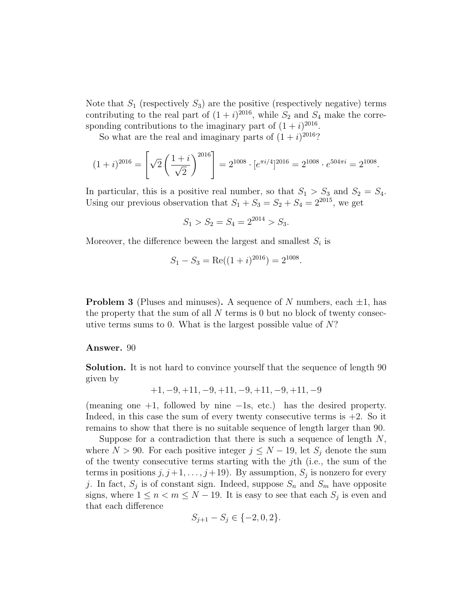Note that  $S_1$  (respectively  $S_3$ ) are the positive (respectively negative) terms contributing to the real part of  $(1 + i)^{2016}$ , while  $S_2$  and  $S_4$  make the corresponding contributions to the imaginary part of  $(1 + i)^{2016}$ .

So what are the real and imaginary parts of  $(1 + i)^{2016}$ ?

$$
(1+i)^{2016} = \left[\sqrt{2}\left(\frac{1+i}{\sqrt{2}}\right)^{2016}\right] = 2^{1008} \cdot [e^{\pi i/4}]^{2016} = 2^{1008} \cdot e^{504\pi i} = 2^{1008}.
$$

In particular, this is a positive real number, so that  $S_1 > S_3$  and  $S_2 = S_4$ . Using our previous observation that  $S_1 + S_3 = S_2 + S_4 = 2^{2015}$ , we get

$$
S_1 > S_2 = S_4 = 2^{2014} > S_3.
$$

Moreover, the difference beween the largest and smallest  $S_i$  is

$$
S_1 - S_3 = \text{Re}((1+i)^{2016}) = 2^{1008}.
$$

**Problem 3** (Pluses and minuses). A sequence of N numbers, each  $\pm 1$ , has the property that the sum of all  $N$  terms is 0 but no block of twenty consecutive terms sums to 0. What is the largest possible value of  $N$ ?

Answer. 90

Solution. It is not hard to convince yourself that the sequence of length 90 given by

$$
+1, -9, +11, -9, +11, -9, +11, -9, +11, -9
$$

(meaning one +1, followed by nine −1s, etc.) has the desired property. Indeed, in this case the sum of every twenty consecutive terms is  $+2$ . So it remains to show that there is no suitable sequence of length larger than 90.

Suppose for a contradiction that there is such a sequence of length  $N$ , where  $N > 90$ . For each positive integer  $j \leq N - 19$ , let  $S_j$  denote the sum of the twenty consecutive terms starting with the jth (i.e., the sum of the terms in positions  $j, j+1, \ldots, j+19$ . By assumption,  $S_j$  is nonzero for every j. In fact,  $S_j$  is of constant sign. Indeed, suppose  $S_n$  and  $S_m$  have opposite signs, where  $1 \leq n < m \leq N - 19$ . It is easy to see that each  $S_j$  is even and that each difference

$$
S_{j+1} - S_j \in \{-2, 0, 2\}.
$$